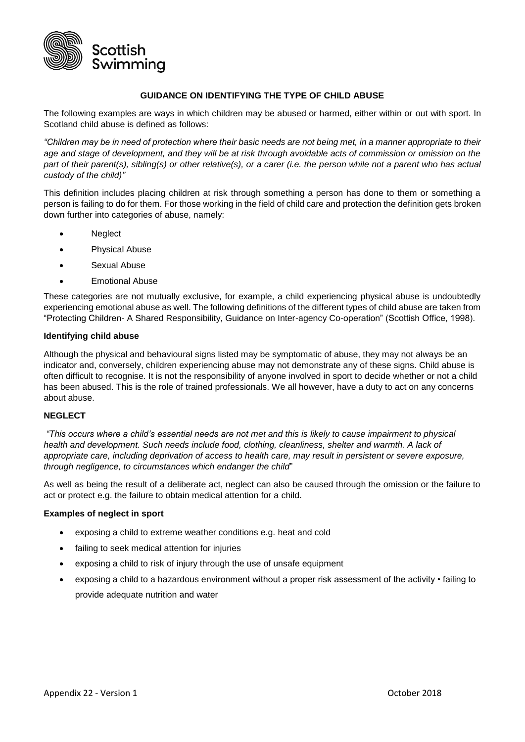

#### **GUIDANCE ON IDENTIFYING THE TYPE OF CHILD ABUSE**

The following examples are ways in which children may be abused or harmed, either within or out with sport. In Scotland child abuse is defined as follows:

*"Children may be in need of protection where their basic needs are not being met, in a manner appropriate to their age and stage of development, and they will be at risk through avoidable acts of commission or omission on the part of their parent(s), sibling(s) or other relative(s), or a carer (i.e. the person while not a parent who has actual custody of the child)"* 

This definition includes placing children at risk through something a person has done to them or something a person is failing to do for them. For those working in the field of child care and protection the definition gets broken down further into categories of abuse, namely:

- Neglect
- Physical Abuse
- Sexual Abuse
- Emotional Abuse

These categories are not mutually exclusive, for example, a child experiencing physical abuse is undoubtedly experiencing emotional abuse as well. The following definitions of the different types of child abuse are taken from "Protecting Children- A Shared Responsibility, Guidance on Inter-agency Co-operation" (Scottish Office, 1998).

#### **Identifying child abuse**

Although the physical and behavioural signs listed may be symptomatic of abuse, they may not always be an indicator and, conversely, children experiencing abuse may not demonstrate any of these signs. Child abuse is often difficult to recognise. It is not the responsibility of anyone involved in sport to decide whether or not a child has been abused. This is the role of trained professionals. We all however, have a duty to act on any concerns about abuse.

## **NEGLECT**

*"This occurs where a child's essential needs are not met and this is likely to cause impairment to physical health and development. Such needs include food, clothing, cleanliness, shelter and warmth. A lack of appropriate care, including deprivation of access to health care, may result in persistent or severe exposure, through negligence, to circumstances which endanger the child*"

As well as being the result of a deliberate act, neglect can also be caused through the omission or the failure to act or protect e.g. the failure to obtain medical attention for a child.

#### **Examples of neglect in sport**

- exposing a child to extreme weather conditions e.g. heat and cold
- failing to seek medical attention for injuries
- exposing a child to risk of injury through the use of unsafe equipment
- exposing a child to a hazardous environment without a proper risk assessment of the activity failing to provide adequate nutrition and water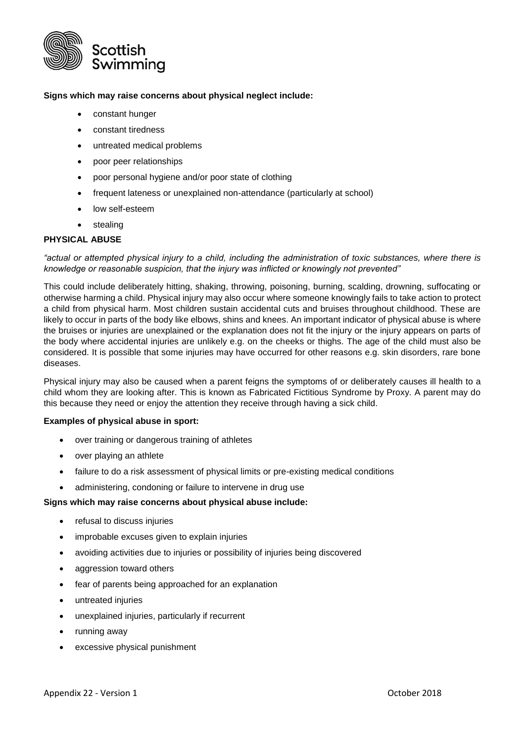

## **Signs which may raise concerns about physical neglect include:**

- constant hunger
- constant tiredness
- untreated medical problems
- poor peer relationships
- poor personal hygiene and/or poor state of clothing
- frequent lateness or unexplained non-attendance (particularly at school)
- low self-esteem
- stealing

## **PHYSICAL ABUSE**

*"actual or attempted physical injury to a child, including the administration of toxic substances, where there is knowledge or reasonable suspicion, that the injury was inflicted or knowingly not prevented"*

This could include deliberately hitting, shaking, throwing, poisoning, burning, scalding, drowning, suffocating or otherwise harming a child. Physical injury may also occur where someone knowingly fails to take action to protect a child from physical harm. Most children sustain accidental cuts and bruises throughout childhood. These are likely to occur in parts of the body like elbows, shins and knees. An important indicator of physical abuse is where the bruises or injuries are unexplained or the explanation does not fit the injury or the injury appears on parts of the body where accidental injuries are unlikely e.g. on the cheeks or thighs. The age of the child must also be considered. It is possible that some injuries may have occurred for other reasons e.g. skin disorders, rare bone diseases.

Physical injury may also be caused when a parent feigns the symptoms of or deliberately causes ill health to a child whom they are looking after. This is known as Fabricated Fictitious Syndrome by Proxy. A parent may do this because they need or enjoy the attention they receive through having a sick child.

## **Examples of physical abuse in sport:**

- over training or dangerous training of athletes
- over playing an athlete
- failure to do a risk assessment of physical limits or pre-existing medical conditions
- administering, condoning or failure to intervene in drug use

#### **Signs which may raise concerns about physical abuse include:**

- refusal to discuss injuries
- improbable excuses given to explain injuries
- avoiding activities due to injuries or possibility of injuries being discovered
- aggression toward others
- fear of parents being approached for an explanation
- untreated injuries
- unexplained injuries, particularly if recurrent
- running away
- excessive physical punishment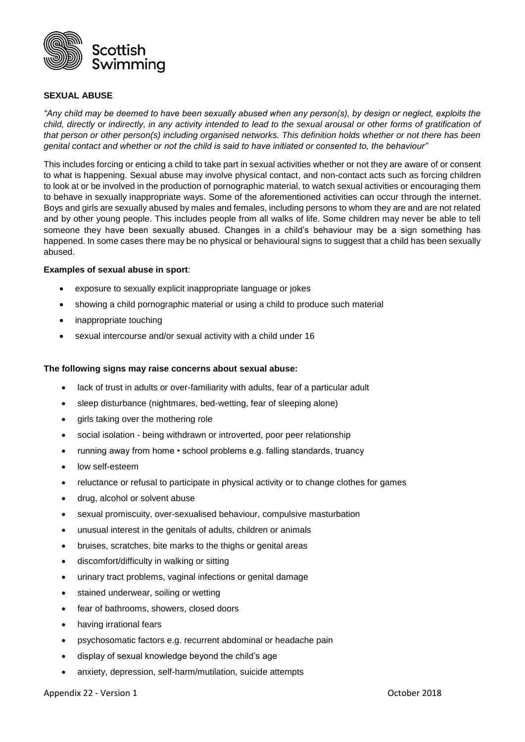

## **SEXUAL ABUSE**

*"Any child may be deemed to have been sexually abused when any person(s), by design or neglect, exploits the*  child, directly or indirectly, in any activity intended to lead to the sexual arousal or other forms of gratification of *that person or other person(s) including organised networks. This definition holds whether or not there has been genital contact and whether or not the child is said to have initiated or consented to, the behaviour"* 

This includes forcing or enticing a child to take part in sexual activities whether or not they are aware of or consent to what is happening. Sexual abuse may involve physical contact, and non-contact acts such as forcing children to look at or be involved in the production of pornographic material, to watch sexual activities or encouraging them to behave in sexually inappropriate ways. Some of the aforementioned activities can occur through the internet. Boys and girls are sexually abused by males and females, including persons to whom they are and are not related and by other young people. This includes people from all walks of life. Some children may never be able to tell someone they have been sexually abused. Changes in a child's behaviour may be a sign something has happened. In some cases there may be no physical or behavioural signs to suggest that a child has been sexually abused.

#### **Examples of sexual abuse in sport**:

- exposure to sexually explicit inappropriate language or jokes
- showing a child pornographic material or using a child to produce such material
- inappropriate touching
- sexual intercourse and/or sexual activity with a child under 16

#### **The following signs may raise concerns about sexual abuse:**

- lack of trust in adults or over-familiarity with adults, fear of a particular adult
- sleep disturbance (nightmares, bed-wetting, fear of sleeping alone)
- girls taking over the mothering role
- social isolation being withdrawn or introverted, poor peer relationship
- running away from home school problems e.g. falling standards, truancy
- low self-esteem
- reluctance or refusal to participate in physical activity or to change clothes for games
- drug, alcohol or solvent abuse
- sexual promiscuity, over-sexualised behaviour, compulsive masturbation
- unusual interest in the genitals of adults, children or animals
- bruises, scratches, bite marks to the thighs or genital areas
- discomfort/difficulty in walking or sitting
- urinary tract problems, vaginal infections or genital damage
- stained underwear, soiling or wetting
- fear of bathrooms, showers, closed doors
- having irrational fears
- psychosomatic factors e.g. recurrent abdominal or headache pain
- display of sexual knowledge beyond the child's age
- anxiety, depression, self-harm/mutilation, suicide attempts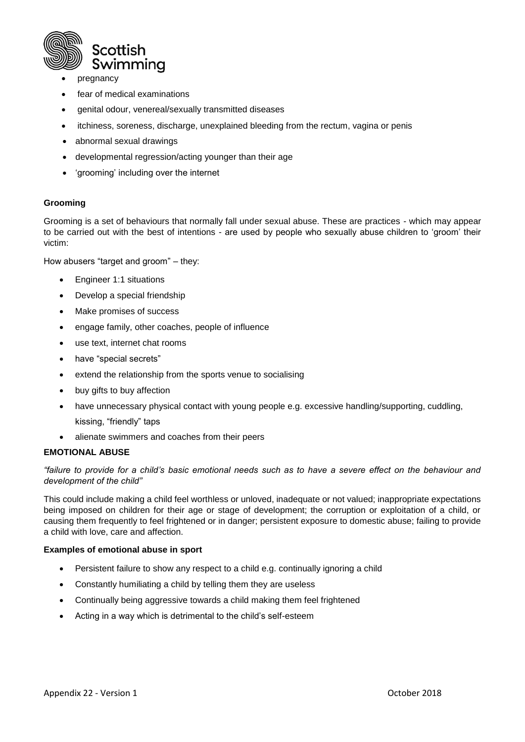

- pregnancy
- fear of medical examinations
- genital odour, venereal/sexually transmitted diseases
- itchiness, soreness, discharge, unexplained bleeding from the rectum, vagina or penis
- abnormal sexual drawings
- developmental regression/acting younger than their age
- 'grooming' including over the internet

## **Grooming**

Grooming is a set of behaviours that normally fall under sexual abuse. These are practices - which may appear to be carried out with the best of intentions - are used by people who sexually abuse children to 'groom' their victim:

How abusers "target and groom" – they:

- Engineer 1:1 situations
- Develop a special friendship
- Make promises of success
- engage family, other coaches, people of influence
- use text, internet chat rooms
- have "special secrets"
- extend the relationship from the sports venue to socialising
- buy gifts to buy affection
- have unnecessary physical contact with young people e.g. excessive handling/supporting, cuddling, kissing, "friendly" taps
- alienate swimmers and coaches from their peers

## **EMOTIONAL ABUSE**

## *"failure to provide for a child's basic emotional needs such as to have a severe effect on the behaviour and development of the child"*

This could include making a child feel worthless or unloved, inadequate or not valued; inappropriate expectations being imposed on children for their age or stage of development; the corruption or exploitation of a child, or causing them frequently to feel frightened or in danger; persistent exposure to domestic abuse; failing to provide a child with love, care and affection.

## **Examples of emotional abuse in sport**

- Persistent failure to show any respect to a child e.g. continually ignoring a child
- Constantly humiliating a child by telling them they are useless
- Continually being aggressive towards a child making them feel frightened
- Acting in a way which is detrimental to the child's self-esteem